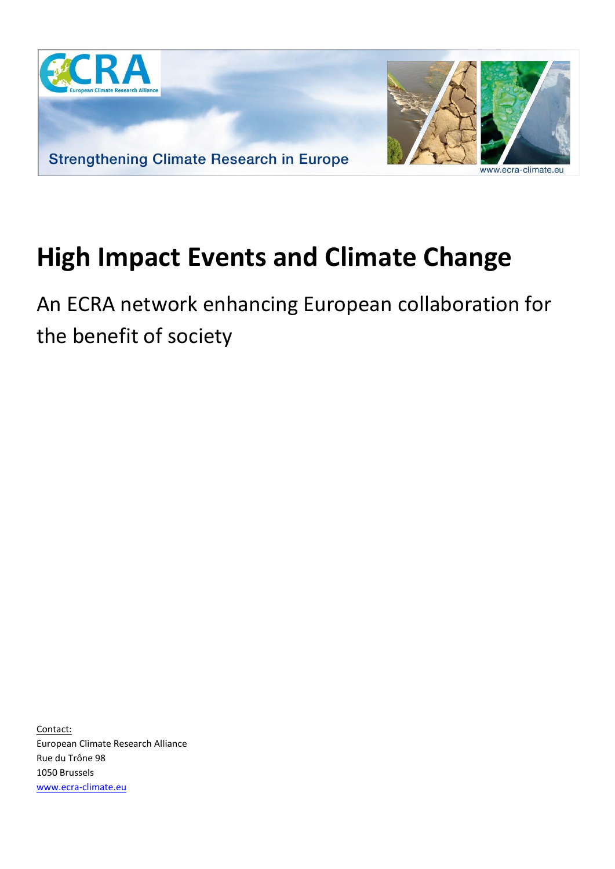

## **High Impact Events and Climate Change**

An ECRA network enhancing European collaboration for the benefit of society

Contact: European Climate Research Alliance Rue du Trône 98 1050 Brussels [www.ecra-climate.eu](http://www.ecra-climate.eu/)